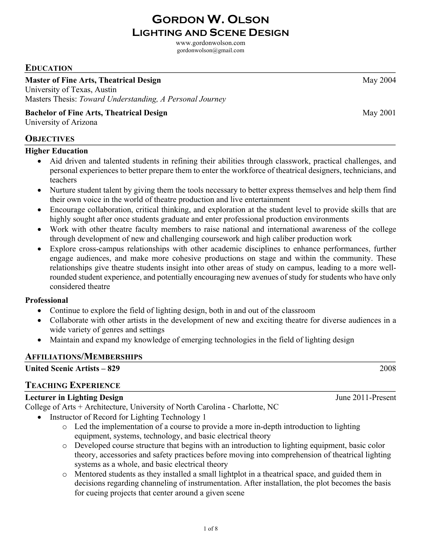www.gordonwolson.com

# gordonwolson@gmail.com

# **EDUCATION**

## **Master of Fine Arts, Theatrical Design May 2004** Nay 2004

University of Texas, Austin Masters Thesis: *Toward Understanding, A Personal Journey*

## **Bachelor of Fine Arts, Theatrical Design May 2001**

University of Arizona

## **OBJECTIVES**

### **Higher Education**

- Aid driven and talented students in refining their abilities through classwork, practical challenges, and personal experiences to better prepare them to enter the workforce of theatrical designers, technicians, and teachers
- Nurture student talent by giving them the tools necessary to better express themselves and help them find their own voice in the world of theatre production and live entertainment
- Encourage collaboration, critical thinking, and exploration at the student level to provide skills that are highly sought after once students graduate and enter professional production environments
- Work with other theatre faculty members to raise national and international awareness of the college through development of new and challenging coursework and high caliber production work
- Explore cross-campus relationships with other academic disciplines to enhance performances, further engage audiences, and make more cohesive productions on stage and within the community. These relationships give theatre students insight into other areas of study on campus, leading to a more wellrounded student experience, and potentially encouraging new avenues of study for students who have only considered theatre

## **Professional**

- Continue to explore the field of lighting design, both in and out of the classroom
- Collaborate with other artists in the development of new and exciting theatre for diverse audiences in a wide variety of genres and settings
- Maintain and expand my knowledge of emerging technologies in the field of lighting design

# **AFFILIATIONS/MEMBERSHIPS**

# **United Scenic Artists – 829** 2008

## **TEACHING EXPERIENCE**

# **Lecturer in Lighting Design** June 2011-Present

College of Arts + Architecture, University of North Carolina - Charlotte, NC

- Instructor of Record for Lighting Technology 1
	- o Led the implementation of a course to provide a more in-depth introduction to lighting equipment, systems, technology, and basic electrical theory
	- o Developed course structure that begins with an introduction to lighting equipment, basic color theory, accessories and safety practices before moving into comprehension of theatrical lighting systems as a whole, and basic electrical theory
	- o Mentored students as they installed a small lightplot in a theatrical space, and guided them in decisions regarding channeling of instrumentation. After installation, the plot becomes the basis for cueing projects that center around a given scene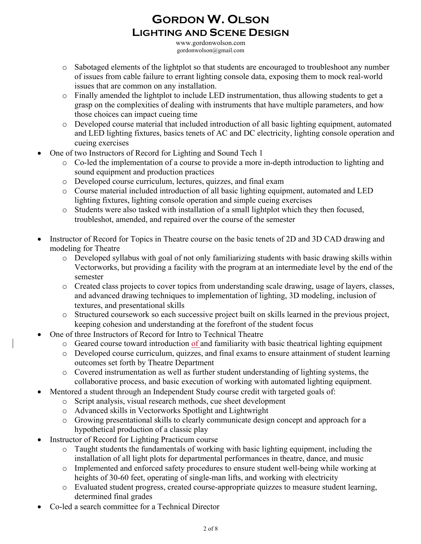www.gordonwolson.com gordonwolson@gmail.com

- o Sabotaged elements of the lightplot so that students are encouraged to troubleshoot any number of issues from cable failure to errant lighting console data, exposing them to mock real-world issues that are common on any installation.
- o Finally amended the lightplot to include LED instrumentation, thus allowing students to get a grasp on the complexities of dealing with instruments that have multiple parameters, and how those choices can impact cueing time
- o Developed course material that included introduction of all basic lighting equipment, automated and LED lighting fixtures, basics tenets of AC and DC electricity, lighting console operation and cueing exercises
- One of two Instructors of Record for Lighting and Sound Tech 1
	- o Co-led the implementation of a course to provide a more in-depth introduction to lighting and sound equipment and production practices
	- o Developed course curriculum, lectures, quizzes, and final exam
	- o Course material included introduction of all basic lighting equipment, automated and LED lighting fixtures, lighting console operation and simple cueing exercises
	- o Students were also tasked with installation of a small lightplot which they then focused, troubleshot, amended, and repaired over the course of the semester
- Instructor of Record for Topics in Theatre course on the basic tenets of 2D and 3D CAD drawing and modeling for Theatre
	- o Developed syllabus with goal of not only familiarizing students with basic drawing skills within Vectorworks, but providing a facility with the program at an intermediate level by the end of the semester
	- o Created class projects to cover topics from understanding scale drawing, usage of layers, classes, and advanced drawing techniques to implementation of lighting, 3D modeling, inclusion of textures, and presentational skills
	- o Structured coursework so each successive project built on skills learned in the previous project, keeping cohesion and understanding at the forefront of the student focus
- One of three Instructors of Record for Intro to Technical Theatre
	- o Geared course toward introduction of and familiarity with basic theatrical lighting equipment
	- o Developed course curriculum, quizzes, and final exams to ensure attainment of student learning outcomes set forth by Theatre Department
	- o Covered instrumentation as well as further student understanding of lighting systems, the collaborative process, and basic execution of working with automated lighting equipment.
- Mentored a student through an Independent Study course credit with targeted goals of:
	- o Script analysis, visual research methods, cue sheet development
	- o Advanced skills in Vectorworks Spotlight and Lightwright
	- o Growing presentational skills to clearly communicate design concept and approach for a hypothetical production of a classic play
- Instructor of Record for Lighting Practicum course
	- o Taught students the fundamentals of working with basic lighting equipment, including the installation of all light plots for departmental performances in theatre, dance, and music
	- o Implemented and enforced safety procedures to ensure student well-being while working at heights of 30-60 feet, operating of single-man lifts, and working with electricity
	- o Evaluated student progress, created course-appropriate quizzes to measure student learning, determined final grades
- Co-led a search committee for a Technical Director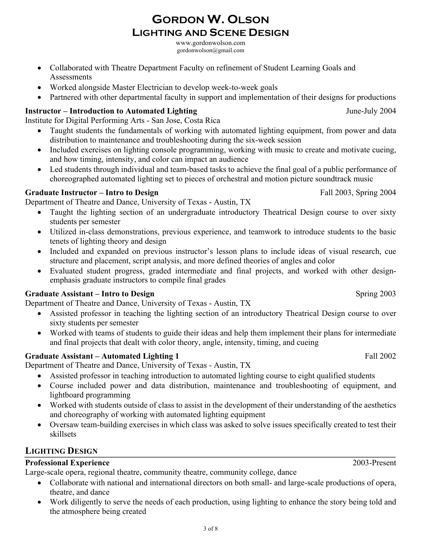www.gordonwolson.com gordonwolson@gmail.com

- Collaborated with Theatre Department Faculty on refinement of Student Learning Goals and Assessments
- Worked alongside Master Electrician to develop week-to-week goals
- Partnered with other departmental faculty in support and implementation of their designs for productions

# **Instructor – Introduction to Automated Lighting and Science 2004** June-July 2004

Institute for Digital Performing Arts - San Jose, Costa Rica

- Taught students the fundamentals of working with automated lighting equipment, from power and data distribution to maintenance and troubleshooting during the six-week session
- Included exercises on lighting console programming, working with music to create and motivate cueing, and how timing, intensity, and color can impact an audience
- Led students through individual and team-based tasks to achieve the final goal of a public performance of choreographed automated lighting set to pieces of orchestral and motion picture soundtrack music

# Graduate Instructor – Intro to Design Fall 2003, Spring 2004

Department of Theatre and Dance, University of Texas - Austin, TX

- Taught the lighting section of an undergraduate introductory Theatrical Design course to over sixty students per semester
- Utilized in-class demonstrations, previous experience, and teamwork to introduce students to the basic tenets of lighting theory and design
- Included and expanded on previous instructor's lesson plans to include ideas of visual research, cue structure and placement, script analysis, and more defined theories of angles and color
- Evaluated student progress, graded intermediate and final projects, and worked with other designemphasis graduate instructors to compile final grades

# **Graduate Assistant – Intro to Design Spring 2003** Spring 2003

Department of Theatre and Dance, University of Texas - Austin, TX

- Assisted professor in teaching the lighting section of an introductory Theatrical Design course to over sixty students per semester
- Worked with teams of students to guide their ideas and help them implement their plans for intermediate and final projects that dealt with color theory, angle, intensity, timing, and cueing

# **Graduate Assistant – Automated Lighting 1** Fall 2002

Department of Theatre and Dance, University of Texas - Austin, TX

- Assisted professor in teaching introduction to automated lighting course to eight qualified students
- Course included power and data distribution, maintenance and troubleshooting of equipment, and lightboard programming
- Worked with students outside of class to assist in the development of their understanding of the aesthetics and choreography of working with automated lighting equipment
- Oversaw team-building exercises in which class was asked to solve issues specifically created to test their skillsets

# **LIGHTING DESIGN**

# **Professional Experience** 2003-Present

Large-scale opera, regional theatre, community theatre, community college, dance

- Collaborate with national and international directors on both small- and large-scale productions of opera, theatre, and dance
- Work diligently to serve the needs of each production, using lighting to enhance the story being told and the atmosphere being created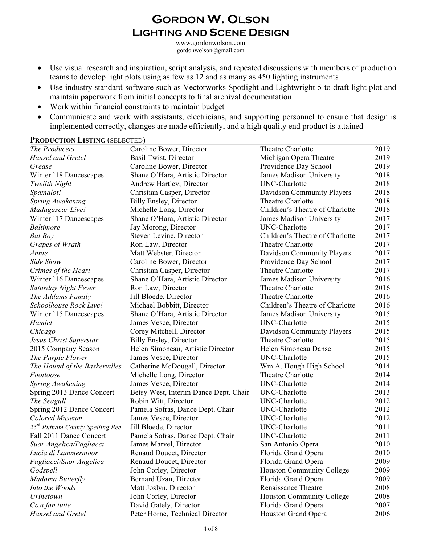www.gordonwolson.com gordonwolson@gmail.com

- Use visual research and inspiration, script analysis, and repeated discussions with members of production teams to develop light plots using as few as 12 and as many as 450 lighting instruments
- Use industry standard software such as Vectorworks Spotlight and Lightwright 5 to draft light plot and maintain paperwork from initial concepts to final archival documentation
- Work within financial constraints to maintain budget
- Communicate and work with assistants, electricians, and supporting personnel to ensure that design is implemented correctly, changes are made efficiently, and a high quality end product is attained

#### **PRODUCTION LISTING** (SELECTED)

| The Producers                               | Caroline Bower, Director              | Theatre Charlotte                | 2019 |
|---------------------------------------------|---------------------------------------|----------------------------------|------|
| <b>Hansel and Gretel</b>                    | Basil Twist, Director                 | Michigan Opera Theatre           | 2019 |
| Grease                                      | Caroline Bower, Director              | Providence Day School            | 2019 |
| Winter '18 Dancescapes                      | Shane O'Hara, Artistic Director       | James Madison University         | 2018 |
| Twelfth Night                               | Andrew Hartley, Director              | UNC-Charlotte                    | 2018 |
| Spamalot!                                   | Christian Casper, Director            | Davidson Community Players       | 2018 |
| Spring Awakening                            | <b>Billy Ensley, Director</b>         | Theatre Charlotte                | 2018 |
| Madagascar Live!                            | Michelle Long, Director               | Children's Theatre of Charlotte  | 2018 |
| Winter '17 Dancescapes                      | Shane O'Hara, Artistic Director       | James Madison University         | 2017 |
| <i>Baltimore</i>                            | Jay Morong, Director                  | UNC-Charlotte                    | 2017 |
| <b>Bat Boy</b>                              | Steven Levine, Director               | Children's Theatre of Charlotte  | 2017 |
| Grapes of Wrath                             | Ron Law, Director                     | Theatre Charlotte                | 2017 |
| Annie                                       | Matt Webster, Director                | Davidson Community Players       | 2017 |
| Side Show                                   | Caroline Bower, Director              | Providence Day School            | 2017 |
| Crimes of the Heart                         | Christian Casper, Director            | Theatre Charlotte                | 2017 |
| Winter '16 Dancescapes                      | Shane O'Hara, Artistic Director       | James Madison University         | 2016 |
| Saturday Night Fever                        | Ron Law, Director                     | Theatre Charlotte                | 2016 |
| The Addams Family                           | Jill Bloede, Director                 | Theatre Charlotte                | 2016 |
| Schoolhouse Rock Live!                      | Michael Bobbitt, Director             | Children's Theatre of Charlotte  | 2016 |
| Winter `15 Dancescapes                      | Shane O'Hara, Artistic Director       | James Madison University         | 2015 |
| Hamlet                                      | James Vesce, Director                 | UNC-Charlotte                    | 2015 |
| Chicago                                     | Corey Mitchell, Director              | Davidson Community Players       | 2015 |
| Jesus Christ Superstar                      | <b>Billy Ensley, Director</b>         | Theatre Charlotte                | 2015 |
| 2015 Company Season                         | Helen Simoneau, Artistic Director     | Helen Simoneau Danse             | 2015 |
| The Purple Flower                           | James Vesce, Director                 | UNC-Charlotte                    | 2015 |
| The Hound of the Baskervilles               | Catherine McDougall, Director         | Wm A. Hough High School          | 2014 |
| Footloose                                   | Michelle Long, Director               | Theatre Charlotte                | 2014 |
| Spring Awakening                            | James Vesce, Director                 | UNC-Charlotte                    | 2014 |
| Spring 2013 Dance Concert                   | Betsy West, Interim Dance Dept. Chair | UNC-Charlotte                    | 2013 |
| The Seagull                                 | Robin Witt, Director                  | UNC-Charlotte                    | 2012 |
| Spring 2012 Dance Concert                   | Pamela Sofras, Dance Dept. Chair      | UNC-Charlotte                    | 2012 |
| Colored Museum                              | James Vesce, Director                 | UNC-Charlotte                    | 2012 |
| 25 <sup>th</sup> Putnam County Spelling Bee | Jill Bloede, Director                 | UNC-Charlotte                    | 2011 |
| Fall 2011 Dance Concert                     | Pamela Sofras, Dance Dept. Chair      | UNC-Charlotte                    | 2011 |
| Suor Angelica/Pagliacci                     | James Marvel, Director                | San Antonio Opera                | 2010 |
| Lucia di Lammermoor                         | Renaud Doucet, Director               | Florida Grand Opera              | 2010 |
| Pagliacci/Suor Angelica                     | Renaud Doucet, Director               | Florida Grand Opera              | 2009 |
| Godspell                                    | John Corley, Director                 | <b>Houston Community College</b> | 2009 |
| Madama Butterfly                            | Bernard Uzan, Director                | Florida Grand Opera              | 2009 |
| Into the Woods                              | Matt Joslyn, Director                 | Renaissance Theatre              | 2008 |
| Urinetown                                   | John Corley, Director                 | <b>Houston Community College</b> | 2008 |
| Cosi fan tutte                              | David Gately, Director                | Florida Grand Opera              | 2007 |
| Hansel and Gretel                           | Peter Horne, Technical Director       | Houston Grand Opera              | 2006 |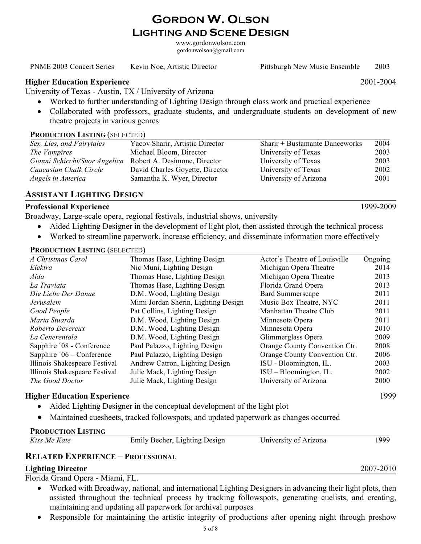www.gordonwolson.com gordonwolson@gmail.com

PNME 2003 Concert Series Kevin Noe, Artistic Director Pittsburgh New Music Ensemble 2003

#### **Higher Education Experience** 2001-2004

University of Texas - Austin, TX / University of Arizona

- Worked to further understanding of Lighting Design through class work and practical experience
- Collaborated with professors, graduate students, and undergraduate students on development of new theatre projects in various genres

#### **PRODUCTION LISTING** (SELECTED)

| Sex, Lies, and Fairytales     | Yacov Sharir, Artistic Director | Sharir + Bustamante Danceworks | 2004 |
|-------------------------------|---------------------------------|--------------------------------|------|
| The Vampires                  | Michael Bloom, Director         | University of Texas            | 2003 |
| Gianni Schicchi/Suor Angelica | Robert A. Desimone, Director    | University of Texas            | 2003 |
| Caucasian Chalk Circle        | David Charles Goyette, Director | University of Texas            | 2002 |
| Angels in America             | Samantha K. Wyer, Director      | University of Arizona          | 2001 |

### **ASSISTANT LIGHTING DESIGN**

#### **Professional Experience** 1999-2009

Broadway, Large-scale opera, regional festivals, industrial shows, university

- Aided Lighting Designer in the development of light plot, then assisted through the technical process
- Worked to streamline paperwork, increase efficiency, and disseminate information more effectively

#### **PRODUCTION LISTING** (SELECTED)

| A Christmas Carol             | Thomas Hase, Lighting Design        | Actor's Theatre of Louisville | Ongoing |
|-------------------------------|-------------------------------------|-------------------------------|---------|
| Elektra                       | Nic Muni, Lighting Design           | Michigan Opera Theatre        | 2014    |
| Aida                          | Thomas Hase, Lighting Design        | Michigan Opera Theatre        | 2013    |
| La Traviata                   | Thomas Hase, Lighting Design        | Florida Grand Opera           | 2013    |
| Die Liebe Der Danae           | D.M. Wood, Lighting Design          | <b>Bard Summerscape</b>       | 2011    |
| Jerusalem                     | Mimi Jordan Sherin, Lighting Design | Music Box Theatre, NYC        | 2011    |
| Good People                   | Pat Collins, Lighting Design        | Manhattan Theatre Club        | 2011    |
| Maria Stuarda                 | D.M. Wood, Lighting Design          | Minnesota Opera               | 2011    |
| Roberto Devereux              | D.M. Wood, Lighting Design          | Minnesota Opera               | 2010    |
| La Cenerentola                | D.M. Wood, Lighting Design          | Glimmerglass Opera            | 2009    |
| Sapphire '08 - Conference     | Paul Palazzo, Lighting Design       | Orange County Convention Ctr. | 2008    |
| Sapphire $06 -$ Conference    | Paul Palazzo, Lighting Design       | Orange County Convention Ctr. | 2006    |
| Illinois Shakespeare Festival | Andrew Catron, Lighting Design      | ISU - Bloomington, IL.        | 2003    |
| Illinois Shakespeare Festival | Julie Mack, Lighting Design         | $ISU - Bloomington, IL.$      | 2002    |
| The Good Doctor               | Julie Mack, Lighting Design         | University of Arizona         | 2000    |
|                               |                                     |                               |         |

#### **Higher Education Experience** 1999

- Aided Lighting Designer in the conceptual development of the light plot
- Maintained cuesheets, tracked followspots, and updated paperwork as changes occurred

#### **PRODUCTION LISTING**

| Kiss Me Kate | Emily Becher, Lighting Design | University of Arizona | 1999 |
|--------------|-------------------------------|-----------------------|------|
|--------------|-------------------------------|-----------------------|------|

#### **RELATED EXPERIENCE – PROFESSIONAL**

#### **Lighting Director** 2007-2010

Florida Grand Opera - Miami, FL.

- Worked with Broadway, national, and international Lighting Designers in advancing their light plots, then assisted throughout the technical process by tracking followspots, generating cuelists, and creating, maintaining and updating all paperwork for archival purposes
- Responsible for maintaining the artistic integrity of productions after opening night through preshow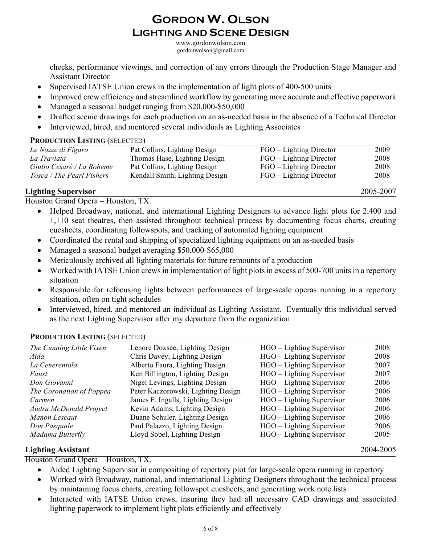www.gordonwolson.com gordonwolson@gmail.com

checks, performance viewings, and correction of any errors through the Production Stage Manager and Assistant Director

- Supervised IATSE Union crews in the implementation of light plots of 400-500 units
- Improved crew efficiency and streamlined workflow by generating more accurate and effective paperwork
- Managed a seasonal budget ranging from \$20,000-\$50,000
- Drafted scenic drawings for each production on an as-needed basis in the absence of a Technical Director
- Interviewed, hired, and mentored several individuals as Lighting Associates

#### **PRODUCTION LISTING** (SELECTED)

| Le Nozze di Figaro        | Pat Collins, Lighting Design   | FGO – Lighting Director | 2009 |
|---------------------------|--------------------------------|-------------------------|------|
| La Traviata               | Thomas Hase, Lighting Design   | FGO – Lighting Director | 2008 |
| Giulio Cesaré / La Boheme | Pat Collins, Lighting Design   | FGO – Lighting Director | 2008 |
| Tosca / The Pearl Fishers | Kendall Smith, Lighting Design | FGO – Lighting Director | 2008 |
|                           |                                |                         |      |

## **Lighting Supervisor** 2005-2007

Houston Grand Opera – Houston, TX.

- Helped Broadway, national, and international Lighting Designers to advance light plots for 2,400 and 1,110 seat theatres, then assisted throughout technical process by documenting focus charts, creating cuesheets, coordinating followspots, and tracking of automated lighting equipment
- Coordinated the rental and shipping of specialized lighting equipment on an as-needed basis
- Managed a seasonal budget averaging \$50,000-\$65,000
- Meticulously archived all lighting materials for future remounts of a production
- Worked with IATSE Union crews in implementation of light plots in excess of 500-700 units in a repertory situation
- Responsible for refocusing lights between performances of large-scale operas running in a repertory situation, often on tight schedules
- Interviewed, hired, and mentored an individual as Lighting Assistant. Eventually this individual served as the next Lighting Supervisor after my departure from the organization

# **PRODUCTION LISTING** (SELECTED)

| The Cunning Little Vixen | Lenore Doxsee, Lighting Design     | HGO – Lighting Supervisor | 2008 |
|--------------------------|------------------------------------|---------------------------|------|
| Aida                     | Chris Davey, Lighting Design       | HGO – Lighting Supervisor | 2008 |
| La Cenerentola           | Alberto Faura, Lighting Design     | HGO – Lighting Supervisor | 2007 |
| Faust                    | Ken Billington, Lighting Design    | HGO – Lighting Supervisor | 2007 |
| Don Giovanni             | Nigel Levings, Lighting Design     | HGO – Lighting Supervisor | 2006 |
| The Coronation of Poppea | Peter Kaczorowski, Lighting Design | HGO – Lighting Supervisor | 2006 |
| Carmen                   | James F. Ingalls, Lighting Design  | HGO – Lighting Supervisor | 2006 |
| Audra McDonald Project   | Kevin Adams, Lighting Design       | HGO – Lighting Supervisor | 2006 |
| Manon Lescaut            | Duane Schuler, Lighting Design     | HGO – Lighting Supervisor | 2006 |
| Don Pasquale             | Paul Palazzo, Lighting Design      | HGO – Lighting Supervisor | 2006 |
| Madama Butterfly         | Lloyd Sobel, Lighting Design       | HGO – Lighting Supervisor | 2005 |

## **Lighting Assistant** 2004-2005

Houston Grand Opera – Houston, TX.

- Aided Lighting Supervisor in compositing of repertory plot for large-scale opera running in repertory
- Worked with Broadway, national, and international Lighting Designers throughout the technical process by maintaining focus charts, creating followspot cuesheets, and generating work note lists
- Interacted with IATSE Union crews, insuring they had all necessary CAD drawings and associated lighting paperwork to implement light plots efficiently and effectively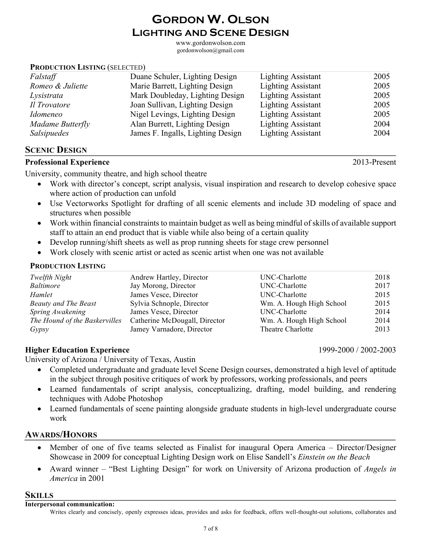7 of 8

# **GORDON W. OLSON LIGHTING AND SCENE DESIGN**

www.gordonwolson.com gordonwolson@gmail.com

### **PRODUCTION LISTING** (SELECTED)

| Falstaff         | Duane Schuler, Lighting Design    | <b>Lighting Assistant</b> | 2005 |
|------------------|-----------------------------------|---------------------------|------|
| Romeo & Juliette | Marie Barrett, Lighting Design    | <b>Lighting Assistant</b> | 2005 |
| Lysistrata       | Mark Doubleday, Lighting Design   | <b>Lighting Assistant</b> | 2005 |
| Il Trovatore     | Joan Sullivan, Lighting Design    | <b>Lighting Assistant</b> | 2005 |
| Idomeneo         | Nigel Levings, Lighting Design    | <b>Lighting Assistant</b> | 2005 |
| Madame Butterfly | Alan Burrett, Lighting Design     | <b>Lighting Assistant</b> | 2004 |
| Salsipuedes      | James F. Ingalls, Lighting Design | <b>Lighting Assistant</b> | 2004 |

## **SCENIC DESIGN**

## **Professional Experience** 2013-Present

University, community theatre, and high school theatre

- Work with director's concept, script analysis, visual inspiration and research to develop cohesive space where action of production can unfold
- Use Vectorworks Spotlight for drafting of all scenic elements and include 3D modeling of space and structures when possible
- Work within financial constraints to maintain budget as well as being mindful of skills of available support staff to attain an end product that is viable while also being of a certain quality
- Develop running/shift sheets as well as prop running sheets for stage crew personnel
- Work closely with scenic artist or acted as scenic artist when one was not available

## **PRODUCTION LISTING**

| Twelfth Night                 | Andrew Hartley, Director      | UNC-Charlotte            | 2018 |
|-------------------------------|-------------------------------|--------------------------|------|
| <i>Baltimore</i>              | Jay Morong, Director          | UNC-Charlotte            | 2017 |
| Hamlet                        | James Vesce, Director         | UNC-Charlotte            | 2015 |
| <b>Beauty and The Beast</b>   | Sylvia Schnople, Director     | Wm. A. Hough High School | 2015 |
| Spring Awakening              | James Vesce, Director         | UNC-Charlotte            | 2014 |
| The Hound of the Baskervilles | Catherine McDougall, Director | Wm. A. Hough High School | 2014 |
| Gypsy                         | Jamey Varnadore, Director     | Theatre Charlotte        | 2013 |

# **Higher Education Experience** 1999-2000 / 2002-2003

University of Arizona / University of Texas, Austin

- Completed undergraduate and graduate level Scene Design courses, demonstrated a high level of aptitude in the subject through positive critiques of work by professors, working professionals, and peers
- Learned fundamentals of script analysis, conceptualizing, drafting, model building, and rendering techniques with Adobe Photoshop
- Learned fundamentals of scene painting alongside graduate students in high-level undergraduate course work

# **AWARDS/HONORS**

- Member of one of five teams selected as Finalist for inaugural Opera America Director/Designer Showcase in 2009 for conceptual Lighting Design work on Elise Sandell's *Einstein on the Beach*
- Award winner "Best Lighting Design" for work on University of Arizona production of *Angels in America* in 2001

## **SKILLS**

#### **Interpersonal communication:**

Writes clearly and concisely, openly expresses ideas, provides and asks for feedback, offers well-thought-out solutions, collaborates and